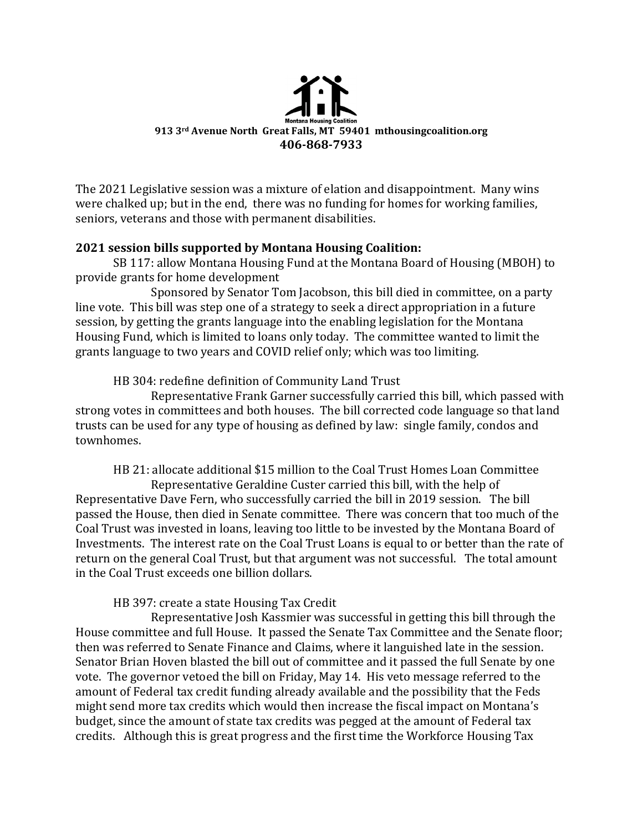## **913 3rd Avenue North Great Falls, MT 59401 mthousingcoalition.org 406-868-7933**

The 2021 Legislative session was a mixture of elation and disappointment. Many wins were chalked up; but in the end, there was no funding for homes for working families, seniors, veterans and those with permanent disabilities.

## **2021 session bills supported by Montana Housing Coalition:**

SB 117: allow Montana Housing Fund at the Montana Board of Housing (MBOH) to provide grants for home development

Sponsored by Senator Tom Jacobson, this bill died in committee, on a party line vote. This bill was step one of a strategy to seek a direct appropriation in a future session, by getting the grants language into the enabling legislation for the Montana Housing Fund, which is limited to loans only today. The committee wanted to limit the grants language to two years and COVID relief only; which was too limiting.

HB 304: redefine definition of Community Land Trust

Representative Frank Garner successfully carried this bill, which passed with strong votes in committees and both houses. The bill corrected code language so that land trusts can be used for any type of housing as defined by law: single family, condos and townhomes.

HB 21: allocate additional \$15 million to the Coal Trust Homes Loan Committee Representative Geraldine Custer carried this bill, with the help of Representative Dave Fern, who successfully carried the bill in 2019 session. The bill passed the House, then died in Senate committee. There was concern that too much of the Coal Trust was invested in loans, leaving too little to be invested by the Montana Board of Investments. The interest rate on the Coal Trust Loans is equal to or better than the rate of return on the general Coal Trust, but that argument was not successful. The total amount in the Coal Trust exceeds one billion dollars.

HB 397: create a state Housing Tax Credit

Representative Josh Kassmier was successful in getting this bill through the House committee and full House. It passed the Senate Tax Committee and the Senate floor; then was referred to Senate Finance and Claims, where it languished late in the session. Senator Brian Hoven blasted the bill out of committee and it passed the full Senate by one vote. The governor vetoed the bill on Friday, May 14. His veto message referred to the amount of Federal tax credit funding already available and the possibility that the Feds might send more tax credits which would then increase the fiscal impact on Montana's budget, since the amount of state tax credits was pegged at the amount of Federal tax credits. Although this is great progress and the first time the Workforce Housing Tax